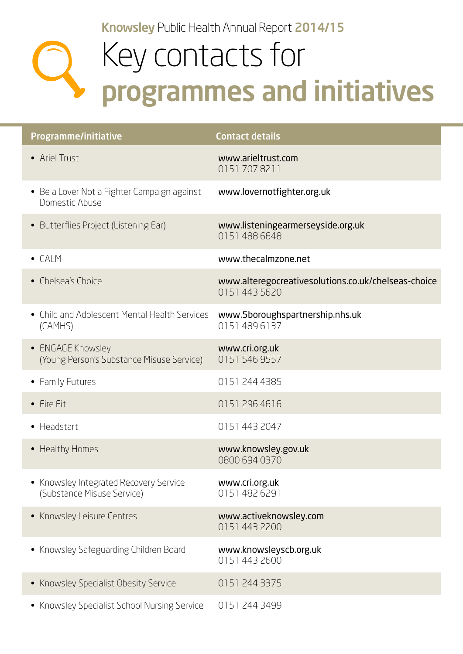Knowsley Public Health Annual Report 2014/15

## Key contacts for programmes and initiatives

| <b>Programme/initiative</b>                                          | <b>Contact details</b>                                               |
|----------------------------------------------------------------------|----------------------------------------------------------------------|
| • Ariel Trust                                                        | www.arieltrust.com<br>01517078211                                    |
| • Be a Lover Not a Fighter Campaign against<br>Domestic Abuse        | www.lovernotfighter.org.uk                                           |
| • Butterflies Project (Listening Ear)                                | www.listeningearmerseyside.org.uk<br>0151 488 6648                   |
| $\bullet$ CALM                                                       | www.thecalmzone.net                                                  |
| • Chelsea's Choice                                                   | www.alteregocreativesolutions.co.uk/chelseas-choice<br>0151 443 5620 |
| • Child and Adolescent Mental Health Services<br>(CAMHS)             | www.5boroughspartnership.nhs.uk<br>01514896137                       |
| • ENGAGE Knowsley<br>(Young Person's Substance Misuse Service)       | www.cri.org.uk<br>0151 546 9557                                      |
| • Family Futures                                                     | 0151 244 4385                                                        |
| • Fire Fit                                                           | 0151 296 4616                                                        |
| • Headstart                                                          | 0151 443 2047                                                        |
| • Healthy Homes                                                      | www.knowsley.gov.uk<br>0800 694 0370                                 |
| • Knowsley Integrated Recovery Service<br>(Substance Misuse Service) | www.cri.org.uk<br>0151 482 6291                                      |
| • Knowsley Leisure Centres                                           | www.activeknowsley.com<br>0151 443 2200                              |
| • Knowsley Safeguarding Children Board                               | www.knowsleyscb.org.uk<br>0151 443 2600                              |
| • Knowsley Specialist Obesity Service                                | 0151 244 3375                                                        |
| • Knowsley Specialist School Nursing Service                         | 0151 244 3499                                                        |